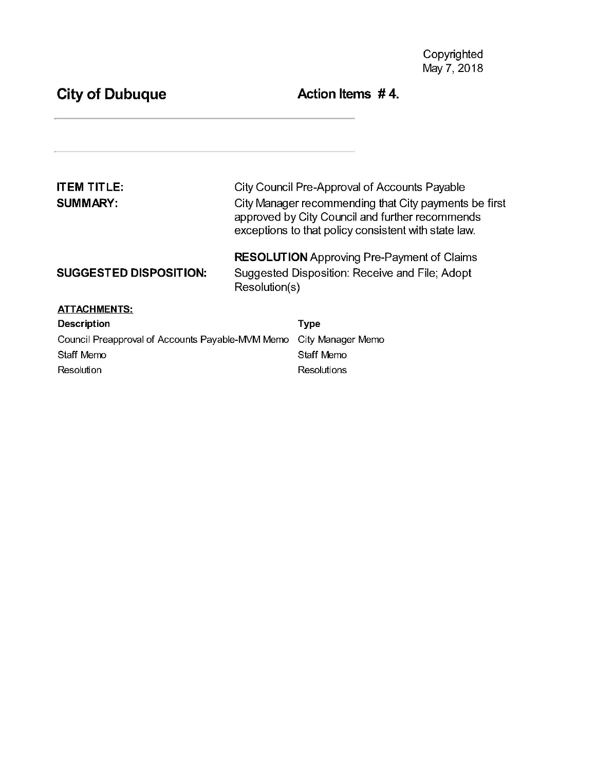# City of Dubuque **Action Items** #4.

| ITEM TITLE:<br><b>SUMMARY:</b>                   | City Council Pre-Approval of Accounts Payable<br>City Manager recommending that City payments be first<br>approved by City Council and further recommends<br>exceptions to that policy consistent with state law. |                   |
|--------------------------------------------------|-------------------------------------------------------------------------------------------------------------------------------------------------------------------------------------------------------------------|-------------------|
| <b>SUGGESTED DISPOSITION:</b>                    | <b>RESOLUTION</b> Approving Pre-Payment of Claims<br>Suggested Disposition: Receive and File; Adopt<br>Resolution(s)                                                                                              |                   |
| <b>ATTACHMENTS.</b>                              |                                                                                                                                                                                                                   |                   |
| <b>Description</b>                               |                                                                                                                                                                                                                   | Type              |
| Council Preapproval of Accounts Payable-MVM Memo |                                                                                                                                                                                                                   | City Manager Memo |
| Staff Memo                                       |                                                                                                                                                                                                                   | Staff Memo        |
| Resolution                                       |                                                                                                                                                                                                                   | Resolutions       |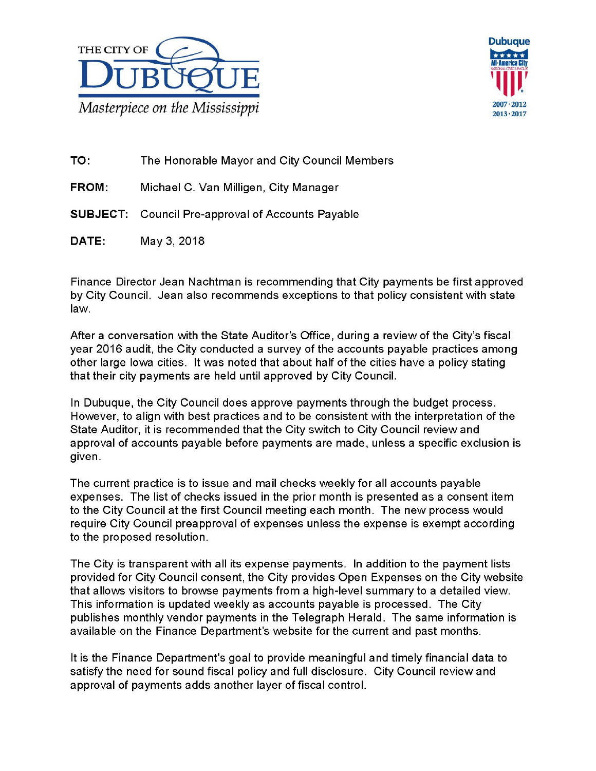



TO: The Honorable Mayor and City Council Members

FROM: Michael C. Van Milligen, City Manager

SUBJECT: Council Pre-approval of Accounts Payable

DATE: May 3, 2018

Finance Director Jean Nachtman is recommending that City payments be first approved by City Council. Jean also recommends exceptions to that policy consistent with state law.

After a conversation with the State Auditor's Office, during a review of the City's fiscal year 2016 audit, the City conducted a survey of the accounts payable practices among other large lowa cities. It was noted that about half of the cities have a policy stating that their city payments are held until approved by City Council.

In Dubuque, the City Council does approve payments through the budget process. However, to align with best practices and to be consistent with the interpretation of the State Auditor, it is recommended that the City switch to City Council review and approval of accounts payable before payments are made, unless a specific exclusion is given.

The current practice is to issue and mail checks weekly for all accounts payable expenses. The list of checks issued in the prior month is presented as a consent item to the City Council at the first Council meeting each month. The new process would require City Council preapproval of expenses unless the expense is exempt according to the proposed resolution.

The City is transparent with all its expense payments. In addition to the payment lists provided for City Council consent, the City provides Open Expenses on the City website that allows visitors to browse payments from a high-level summary to a detailed view. This information is updated weekly as accounts payable is processed. The City publishes monthly vendor payments in the Telegraph Herald. The same information is available on the Finance Department's website for the current and past months.

It is the Finance Department's goal to provide meaningful and timely financial data to satisfy the need for sound fiscal policy and full disclosure. City Council review and approval of payments adds another layer of fiscal control.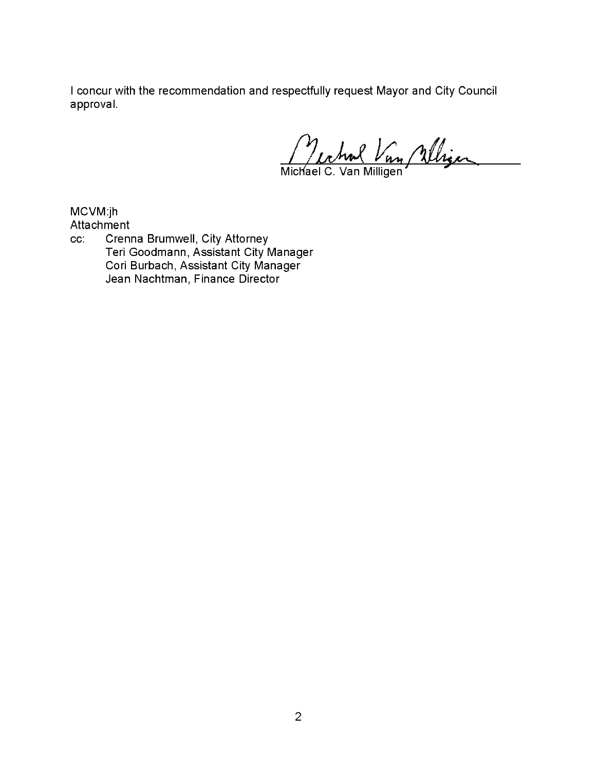<sup>I</sup> concur with the recommendation and respectfully request Mayor and City Council approval.

Lehm Vn

Michael C. Van Milliger

MCVM: jh

Attachment cc: Crenna Brumwell, City Attorney Teri Goodmann, Assistant City Manager Cori Burbach, Assistant City Manager Jean Nachtman, Finance Director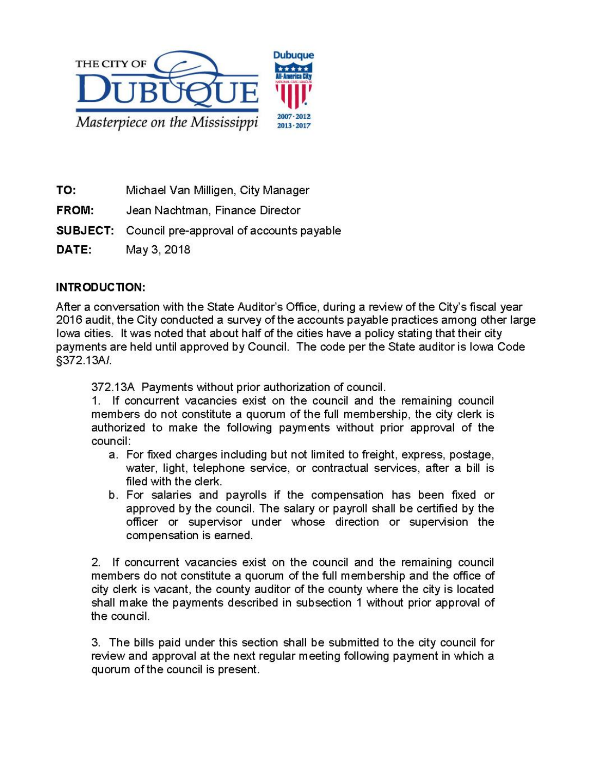

- TO: Michael Van Milligen, City Manager
- FROM: Jean Nachtman, Finance Diredor
- SUBJECT: Council pre-approval of accounts payable
- DATE: May 3, 2018

## INTRODUCTON:

After a conversation with the State Auditor's Office, during a review of the City's fiscal year 2016 audit, the City conducted a survey ofthe accounts payable pradices among other large lowa cities. It was noted that about half of the cities have a policy stating that their city payments are held until approved by Council. The code per the State auditor is lowa Code 372. 13A1.

372. 13A Payments without prior authorization of council.

1. If concurrent vacancies exist on the council and the remaining council members do not constitute a quorum of the full membership, the city clerk is authorized to make the following payments without prior approval of the council:

- a. For fxed charges including but not limited to freight, express, postage, water, light, telephone service, or contradual services, after a bill is fled with the clerk.
- b. For salaries and payrolls if the compensation has been fxed or approved by the council. The salary or payroll shall be certifed by the officer or supervisor under whose direction or supervision the compensation is earned.

2. If concurrent vacancies exist on the council and the remaining council members do not constitute a quorum of the full membership and the offce of city clerk is vacant, the county auditor of the county where the city is located shall make the payments described in subsection <sup>1</sup> without prior approval of the council.

3. The bills paid under this section shall be submitted to the city council for review and approval at the next regular meeting following payment in which a quorum ofthe council is present.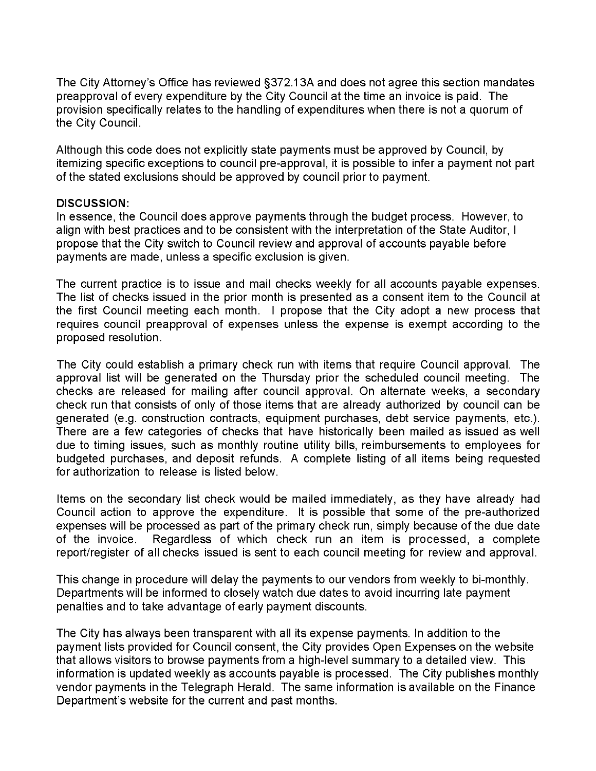The City Attorney's Office has reviewed §372.13A and does not agree this section mandates preapproval of every expenditure by the City Council at the time an invoice is paid. The provision specifically relates to the handling of expenditures when there is not a quorum of the City Council.

Although this code does not explicitly state payments must be approved by Council, by itemizing specific exceptions to council pre-approval, it is possible to infer a payment not part of the stated exclusions should be approved by council prior to payment.

#### DISCUSSION:

In essence, the Council does approve payments through the budget process. However, to align with best practices and to be consistent with the interpretation of the State Auditor, I propose that the City switch to Council review and approval of accounts payable before payments are made, unless a specific exclusion is given.

The current practice is to issue and mail checks weekly for all accounts payable expenses. The list of checks issued in the prior month is presented as a consent item to the Council at the first Council meeting each month. <sup>I</sup> propose that the City adopt <sup>a</sup> new process that requires council preapproval of expenses unless the expense is exempt according to the proposed resolution.

The City could establish a primary check run with items that require Council approval. The approval list will be generated on the Thursday prior the scheduled council meeting. The checks are released for mailing after council approval. On alternate weeks, a secondary check run that consists of only of those items that are already authorized by council can be generated (e.g. construction contracts, equipment purchases, debt service payments, etc.). There are a few categories of checks that have historically been mailed as issued as well due to timing issues, such as monthly routine utility bills, reimbursements to employees for budgeted purchases, and deposit refunds. A complete listing of all items being requested for authorization to release is listed below.

Items on the secondary list check would be mailed immediately, as they have already had Council action to approve the expenditure. It is possible that some of the pre-authorized expenses will be processed as part of the primary check run, simply because of the due date<br>of the invoice. Regardless of which check run an item is processed, a complete Regardless of which check run an item is processed, a complete report/register of all checks issued is sent to each council meeting for review and approval.

This change in procedure will delay the payments to our vendors from weekly to bi-monthly. Departments will be informed to closely watch due dates to avoid incurring late payment penalties and to take advantage of early payment discounts.

The City has always been transparent with all its expense payments. In addition to the payment lists provided for Council consent, the City provides Open Expenses on the website that allows visitors to browse payments from a high-level summary to a detailed view. This information is updated weekly as accounts payable is processed. The City publishes monthly vendor payments in the Telegraph Herald. The same information is available on the Finance Department's website for the current and past months.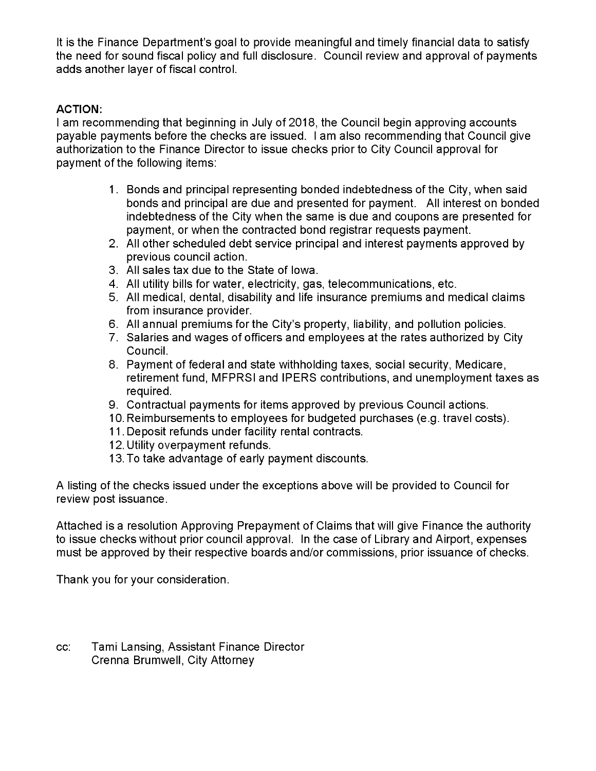It is the Finance Department's goal to provide meaningful and timely financial data to satisfy the need for sound fiscal policy and full disclosure. Council review and approval of payments adds another layer of fiscal control.

## ACTION:

<sup>I</sup> am recommending that beginning in July of 2018, the Council begin approving accounts payable payments before the checks are issued. I am also recommending that Council give authorization to the Finance Director to issue checks prior to City Council approval for payment of the following items:

- 1 . Bonds and principal representing bonded indebtedness of the City, when said bonds and principal are due and presented for payment. All interest on bonded indebtedness of the City when the same is due and coupons are presented for payment, or when the contracted bond registrar requests payment.
- 2. All other scheduled debt service principal and interest payments approved by previous council action.
- 3. All sales tax due to the State of lowa.
- 4. All utility bills for water, electricity, gas, telecommunications, etc.
- 5. All medical, dental, disability and life insurance premiums and medical claims from insurance provider.
- 6. All annual premiums for the City's property, liability, and pollution policies.
- 7. Salaries and wages of officers and employees at the rates authorized by City Council.
- 8. Payment of federal and state withholding taxes, social security, Medicare, retirement fund, MFPRSI and IPERS contributions, and unemployment taxes as required.
- 9. Contractual payments for items approved by previous Council actions.
- 10. Reimbursements to employees for budgeted purchases (e.g. travel costs).
- 11 . Deposit refunds under facility rental contracts.
- 12. Utility overpayment refunds.
- 13. To take advantage of early payment discounts.

A listing of the checks issued under the exceptions above will be provided to Council for review post issuance.

Attached is a resolution Approving Prepayment of Claims that will give Finance the authority to issue checks without prior council approval. In the case of Library and Airport, expenses must be approved by their respective boards and/or commissions, prior issuance of checks.

Thank you for your consideration.

cc: Tami Lansing, Assistant Finance Director Crenna Brumwell, City Attorney